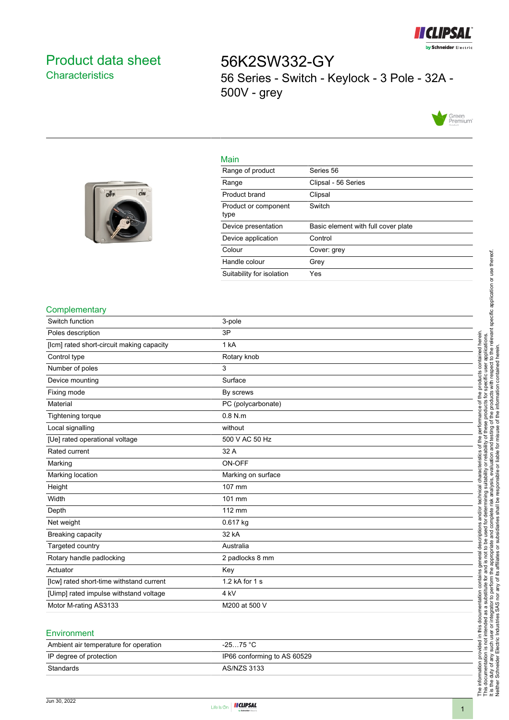

# <span id="page-0-0"></span>Product data sheet **Characteristics**

56K2SW332-GY 56 Series - Switch - Keylock - 3 Pole - 32A - 500V - grey



#### Main

| o <sup>2</sup> F<br>o | $\mathbf{O}^{\dagger}$ N |  |
|-----------------------|--------------------------|--|
|                       |                          |  |
|                       |                          |  |

| Series 56                           |
|-------------------------------------|
| Clipsal - 56 Series                 |
| Clipsal                             |
| Switch                              |
| Basic element with full cover plate |
| Control                             |
| Cover: grey                         |
| Grev                                |
| Yes                                 |
|                                     |

#### **Complementary**

| Switch function                           | 3-pole             |
|-------------------------------------------|--------------------|
| Poles description                         | 3P                 |
| [lcm] rated short-circuit making capacity | 1 kA               |
| Control type                              | Rotary knob        |
| Number of poles                           | 3                  |
| Device mounting                           | Surface            |
| Fixing mode                               | By screws          |
| Material                                  | PC (polycarbonate) |
| <b>Tightening torque</b>                  | $0.8$ N.m          |
| Local signalling                          | without            |
| [Ue] rated operational voltage            | 500 V AC 50 Hz     |
| Rated current                             | 32 A               |
| Marking                                   | ON-OFF             |
| Marking location                          | Marking on surface |
| Height                                    | 107 mm             |
| Width                                     | 101 mm             |
| Depth                                     | 112 mm             |
| Net weight                                | 0.617 kg           |
| Breaking capacity                         | 32 kA              |
| Targeted country                          | Australia          |
| Rotary handle padlocking                  | 2 padlocks 8 mm    |
| Actuator                                  | Key                |
| [Icw] rated short-time withstand current  | 1.2 kA for 1 s     |
| [Uimp] rated impulse withstand voltage    | 4 kV               |
| Motor M-rating AS3133                     | M200 at 500 V      |
|                                           |                    |

### **Environment**

| Ambient air temperature for operation | $-25$ 75 °C                 |
|---------------------------------------|-----------------------------|
| IP degree of protection               | IP66 conforming to AS 60529 |
| Standards                             | AS/NZS 3133                 |